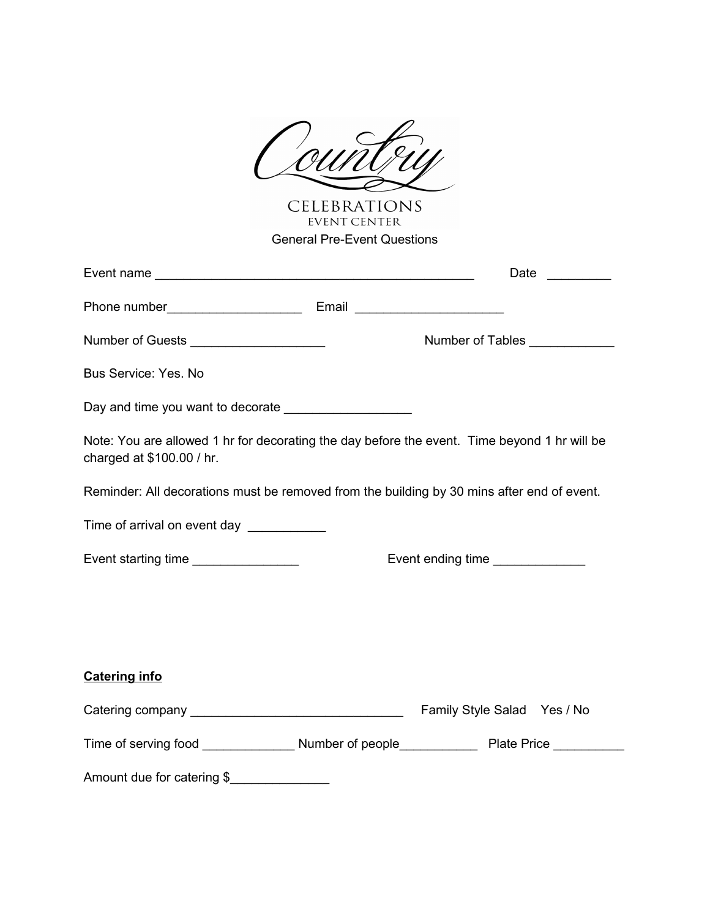

CELEBRATIONS<br>EVENT CENTER General Pre-Event Questions

|                                                                                                                           | Date $\frac{1}{\sqrt{1-\frac{1}{2}}\cdot\frac{1}{2}}$                                                                                                                                                                                 |  |  |  |
|---------------------------------------------------------------------------------------------------------------------------|---------------------------------------------------------------------------------------------------------------------------------------------------------------------------------------------------------------------------------------|--|--|--|
|                                                                                                                           |                                                                                                                                                                                                                                       |  |  |  |
| Number of Guests ______________________                                                                                   | Number of Tables                                                                                                                                                                                                                      |  |  |  |
| <b>Bus Service: Yes. No</b>                                                                                               |                                                                                                                                                                                                                                       |  |  |  |
| Day and time you want to decorate _____________________                                                                   |                                                                                                                                                                                                                                       |  |  |  |
| Note: You are allowed 1 hr for decorating the day before the event. Time beyond 1 hr will be<br>charged at \$100.00 / hr. |                                                                                                                                                                                                                                       |  |  |  |
| Reminder: All decorations must be removed from the building by 30 mins after end of event.                                |                                                                                                                                                                                                                                       |  |  |  |
| Time of arrival on event day ___________                                                                                  |                                                                                                                                                                                                                                       |  |  |  |
| Event starting time ________________                                                                                      | Event ending time<br><u>[</u> [11] Denotional Event ending time and time and the same area and the same area and the same of the same of the same set of the same set of the same set of the same set of the same set of the same set |  |  |  |
|                                                                                                                           |                                                                                                                                                                                                                                       |  |  |  |
|                                                                                                                           |                                                                                                                                                                                                                                       |  |  |  |
| <b>Catering info</b>                                                                                                      |                                                                                                                                                                                                                                       |  |  |  |
|                                                                                                                           |                                                                                                                                                                                                                                       |  |  |  |
|                                                                                                                           |                                                                                                                                                                                                                                       |  |  |  |
| Amount due for catering \$                                                                                                |                                                                                                                                                                                                                                       |  |  |  |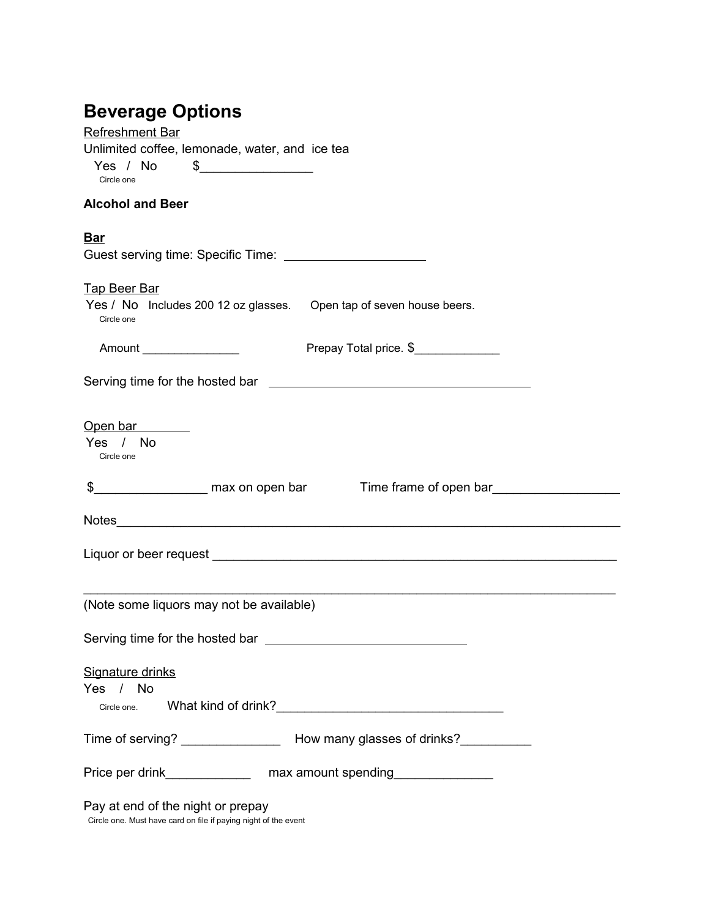## **Beverage Options**

| <b>Refreshment Bar</b>                                                             |
|------------------------------------------------------------------------------------|
| Unlimited coffee, lemonade, water, and ice tea                                     |
|                                                                                    |
| Circle one                                                                         |
| <b>Alcohol and Beer</b>                                                            |
| <b>Bar</b>                                                                         |
|                                                                                    |
|                                                                                    |
| <b>Tap Beer Bar</b>                                                                |
| Yes / No Includes 200 12 oz glasses. Open tap of seven house beers.                |
| Circle one                                                                         |
| Prepay Total price. \$<br>Amount _________________                                 |
|                                                                                    |
|                                                                                    |
|                                                                                    |
|                                                                                    |
| Open bar<br>Yes / No                                                               |
| Circle one                                                                         |
|                                                                                    |
| \$_________________________ max on open bar Time frame of open bar_______________  |
|                                                                                    |
|                                                                                    |
|                                                                                    |
|                                                                                    |
|                                                                                    |
|                                                                                    |
| (Note some liquors may not be available)                                           |
|                                                                                    |
| Serving time for the hosted bar <b>contained a serving time for the hosted bar</b> |
|                                                                                    |
| Signature drinks                                                                   |
| Yes / No                                                                           |
| Circle one.                                                                        |
|                                                                                    |
|                                                                                    |
|                                                                                    |
| Price per drink_________________ max amount spending_________________              |

Circle one. Must have card on file if paying night of the event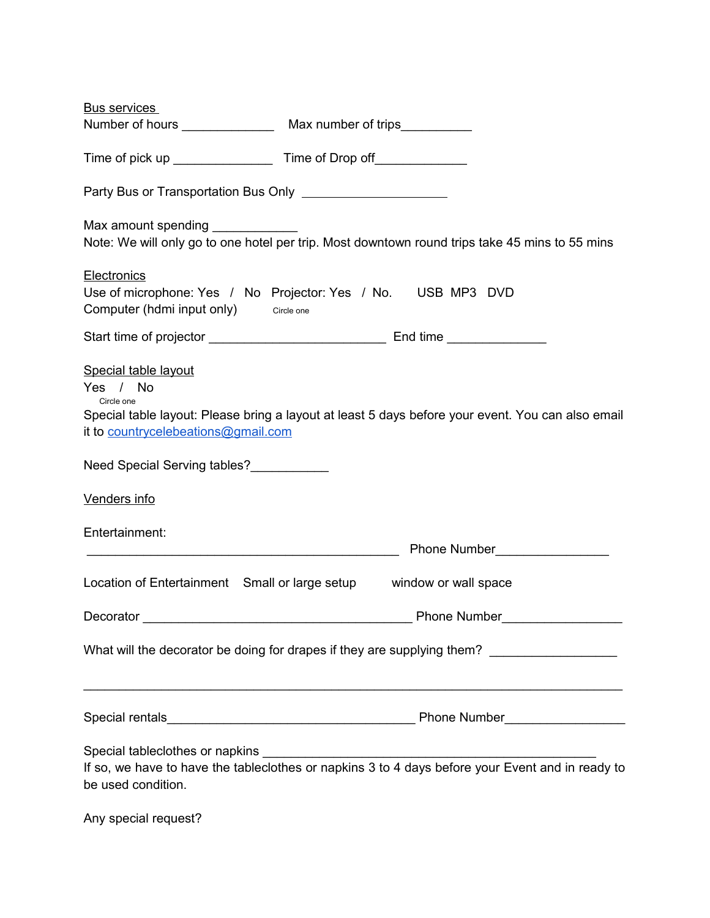| <b>Bus services</b>                                                                                                                                                                        |
|--------------------------------------------------------------------------------------------------------------------------------------------------------------------------------------------|
| Number of hours Max number of trips                                                                                                                                                        |
|                                                                                                                                                                                            |
|                                                                                                                                                                                            |
| Note: We will only go to one hotel per trip. Most downtown round trips take 45 mins to 55 mins                                                                                             |
| <b>Electronics</b><br>Use of microphone: Yes / No Projector: Yes / No. USB MP3 DVD<br>Computer (hdmi input only) Circle one                                                                |
|                                                                                                                                                                                            |
| Special table layout<br>Yes / No<br>Circle one<br>Special table layout: Please bring a layout at least 5 days before your event. You can also email<br>it to countrycelebeations@gmail.com |
| Need Special Serving tables?<br><u>Need Special Serving tables?</u>                                                                                                                        |
| Venders info                                                                                                                                                                               |
| Entertainment:<br><b>Phone Number</b> Phone 2014                                                                                                                                           |
| Location of Entertainment Small or large setup<br>window or wall space                                                                                                                     |
|                                                                                                                                                                                            |
| What will the decorator be doing for drapes if they are supplying them? ________________                                                                                                   |
| <u> 1989 - Jan James James Barnett, amerikan berlindar (h. 1989).</u>                                                                                                                      |
| be used condition.                                                                                                                                                                         |

Any special request?